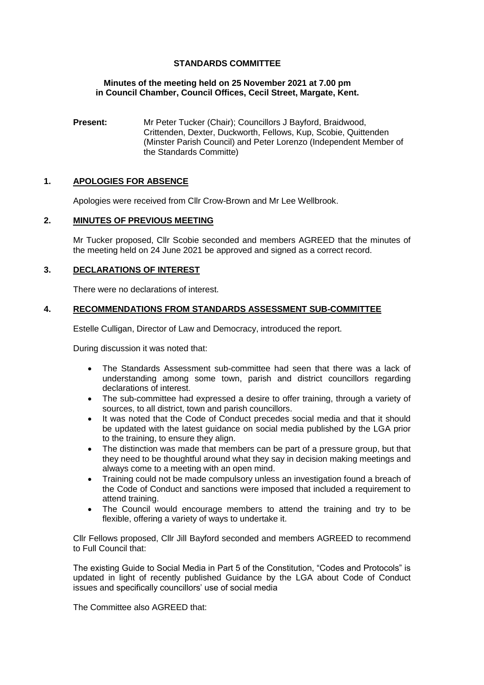## **STANDARDS COMMITTEE**

#### **Minutes of the meeting held on 25 November 2021 at 7.00 pm in Council Chamber, Council Offices, Cecil Street, Margate, Kent.**

**Present:** Mr Peter Tucker (Chair); Councillors J Bayford, Braidwood, Crittenden, Dexter, Duckworth, Fellows, Kup, Scobie, Quittenden (Minster Parish Council) and Peter Lorenzo (Independent Member of the Standards Committe)

#### **1. APOLOGIES FOR ABSENCE**

Apologies were received from Cllr Crow-Brown and Mr Lee Wellbrook.

#### **2. MINUTES OF PREVIOUS MEETING**

Mr Tucker proposed, Cllr Scobie seconded and members AGREED that the minutes of the meeting held on 24 June 2021 be approved and signed as a correct record.

## **3. DECLARATIONS OF INTEREST**

There were no declarations of interest.

#### **4. RECOMMENDATIONS FROM STANDARDS ASSESSMENT SUB-COMMITTEE**

Estelle Culligan, Director of Law and Democracy, introduced the report.

During discussion it was noted that:

- The Standards Assessment sub-committee had seen that there was a lack of understanding among some town, parish and district councillors regarding declarations of interest.
- The sub-committee had expressed a desire to offer training, through a variety of sources, to all district, town and parish councillors.
- It was noted that the Code of Conduct precedes social media and that it should be updated with the latest guidance on social media published by the LGA prior to the training, to ensure they align.
- The distinction was made that members can be part of a pressure group, but that they need to be thoughtful around what they say in decision making meetings and always come to a meeting with an open mind.
- Training could not be made compulsory unless an investigation found a breach of the Code of Conduct and sanctions were imposed that included a requirement to attend training.
- The Council would encourage members to attend the training and try to be flexible, offering a variety of ways to undertake it.

Cllr Fellows proposed, Cllr Jill Bayford seconded and members AGREED to recommend to Full Council that:

The existing Guide to Social Media in Part 5 of the Constitution, "Codes and Protocols" is updated in light of recently published Guidance by the LGA about Code of Conduct issues and specifically councillors' use of social media

The Committee also AGREED that: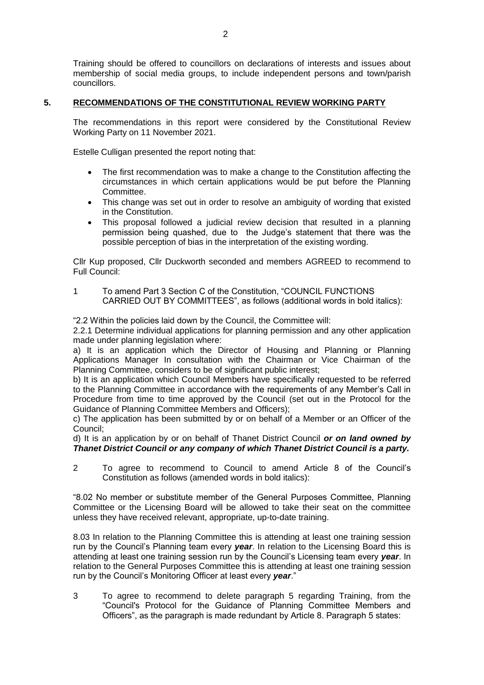Training should be offered to councillors on declarations of interests and issues about membership of social media groups, to include independent persons and town/parish councillors.

## **5. RECOMMENDATIONS OF THE CONSTITUTIONAL REVIEW WORKING PARTY**

The recommendations in this report were considered by the Constitutional Review Working Party on 11 November 2021.

Estelle Culligan presented the report noting that:

- The first recommendation was to make a change to the Constitution affecting the circumstances in which certain applications would be put before the Planning Committee.
- This change was set out in order to resolve an ambiguity of wording that existed in the Constitution.
- This proposal followed a judicial review decision that resulted in a planning permission being quashed, due to the Judge's statement that there was the possible perception of bias in the interpretation of the existing wording.

Cllr Kup proposed, Cllr Duckworth seconded and members AGREED to recommend to Full Council:

1 To amend Part 3 Section C of the Constitution, "COUNCIL FUNCTIONS CARRIED OUT BY COMMITTEES", as follows (additional words in bold italics):

"2.2 Within the policies laid down by the Council, the Committee will:

2.2.1 Determine individual applications for planning permission and any other application made under planning legislation where:

a) It is an application which the Director of Housing and Planning or Planning Applications Manager In consultation with the Chairman or Vice Chairman of the Planning Committee, considers to be of significant public interest;

b) It is an application which Council Members have specifically requested to be referred to the Planning Committee in accordance with the requirements of any Member's Call in Procedure from time to time approved by the Council (set out in the Protocol for the Guidance of Planning Committee Members and Officers);

c) The application has been submitted by or on behalf of a Member or an Officer of the Council;

d) It is an application by or on behalf of Thanet District Council *or on land owned by Thanet District Council or any company of which Thanet District Council is a party.*

2 To agree to recommend to Council to amend Article 8 of the Council's Constitution as follows (amended words in bold italics):

"8.02 No member or substitute member of the General Purposes Committee, Planning Committee or the Licensing Board will be allowed to take their seat on the committee unless they have received relevant, appropriate, up-to-date training.

8.03 In relation to the Planning Committee this is attending at least one training session run by the Council's Planning team every *year*. In relation to the Licensing Board this is attending at least one training session run by the Council's Licensing team every *year*. In relation to the General Purposes Committee this is attending at least one training session run by the Council's Monitoring Officer at least every *year*."

3 To agree to recommend to delete paragraph 5 regarding Training, from the "Council's Protocol for the Guidance of Planning Committee Members and Officers", as the paragraph is made redundant by Article 8. Paragraph 5 states: